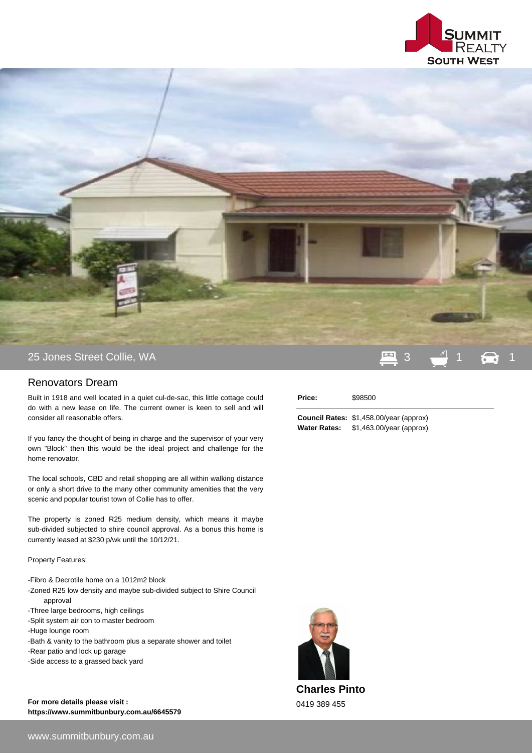



## Renovators Dream

Built in 1918 and well located in a quiet cul-de-sac, this little cottage could do with a new lease on life. The current owner is keen to sell and will consider all reasonable offers.

If you fancy the thought of being in charge and the supervisor of your very own "Block" then this would be the ideal project and challenge for the home renovator.

The local schools, CBD and retail shopping are all within walking distance or only a short drive to the many other community amenities that the very scenic and popular tourist town of Collie has to offer.

The property is zoned R25 medium density, which means it maybe sub-divided subjected to shire council approval. As a bonus this home is currently leased at \$230 p/wk until the 10/12/21.

Property Features:

- Fibro & Decrotile home on a 1012m2 block
- Zoned R25 low density and maybe sub-divided subject to Shire Council approval
- Three large bedrooms, high ceilings
- Split system air con to master bedroom
- Huge lounge room
- Bath & vanity to the bathroom plus a separate shower and toilet
- Rear patio and lock up garage
- Side access to a grassed back yard

**For more details please visit : https://www.summitbunbury.com.au/6645579**

## **Price:** \$98500

**Council Rates:** \$1,458.00/year (approx) **Water Rates:** \$1,463.00/year (approx)



**Charles Pinto** 0419 389 455